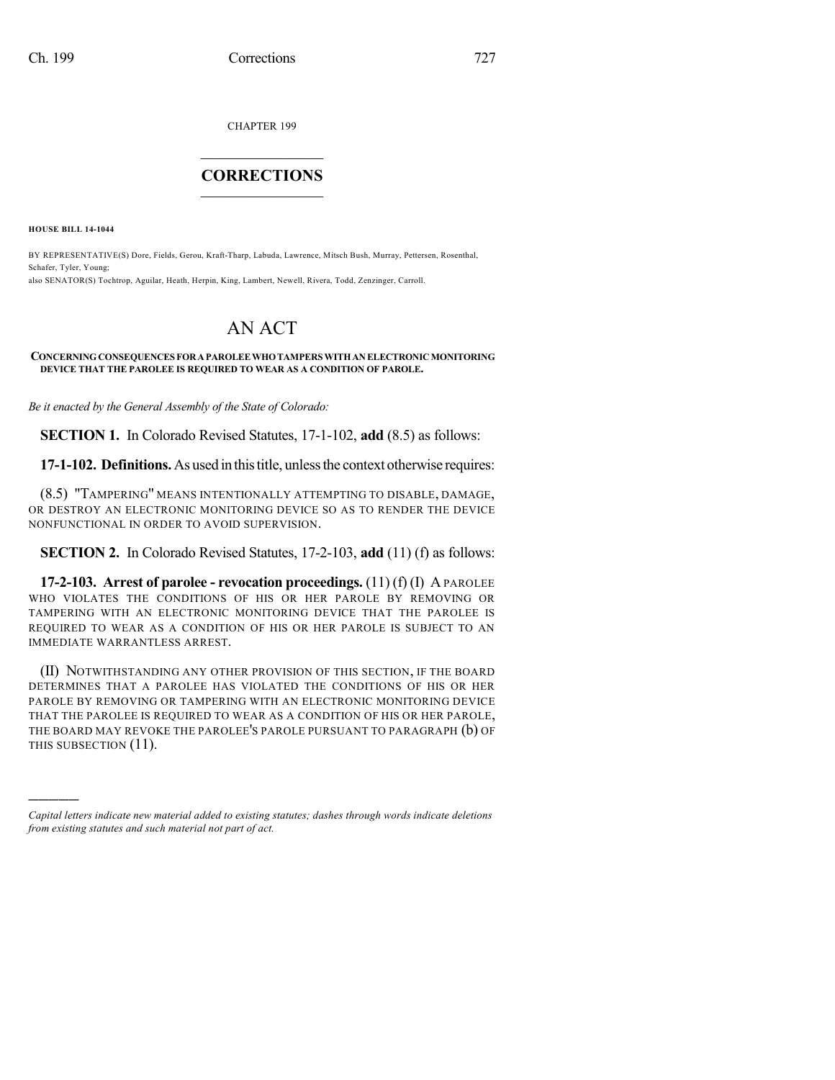CHAPTER 199

## $\overline{\phantom{a}}$  . The set of the set of the set of the set of the set of the set of the set of the set of the set of the set of the set of the set of the set of the set of the set of the set of the set of the set of the set o **CORRECTIONS**  $\frac{1}{2}$  ,  $\frac{1}{2}$  ,  $\frac{1}{2}$  ,  $\frac{1}{2}$  ,  $\frac{1}{2}$  ,  $\frac{1}{2}$

**HOUSE BILL 14-1044**

)))))

BY REPRESENTATIVE(S) Dore, Fields, Gerou, Kraft-Tharp, Labuda, Lawrence, Mitsch Bush, Murray, Pettersen, Rosenthal, Schafer, Tyler, Young; also SENATOR(S) Tochtrop, Aguilar, Heath, Herpin, King, Lambert, Newell, Rivera, Todd, Zenzinger, Carroll.

## AN ACT

## **CONCERNINGCONSEQUENCES FORAPAROLEEWHOTAMPERS WITHANELECTRONICMONITORING DEVICE THAT THE PAROLEE IS REQUIRED TO WEAR AS A CONDITION OF PAROLE.**

*Be it enacted by the General Assembly of the State of Colorado:*

**SECTION 1.** In Colorado Revised Statutes, 17-1-102, **add** (8.5) as follows:

**17-1-102. Definitions.**As used in thistitle, unlessthe context otherwise requires:

(8.5) "TAMPERING" MEANS INTENTIONALLY ATTEMPTING TO DISABLE, DAMAGE, OR DESTROY AN ELECTRONIC MONITORING DEVICE SO AS TO RENDER THE DEVICE NONFUNCTIONAL IN ORDER TO AVOID SUPERVISION.

**SECTION 2.** In Colorado Revised Statutes, 17-2-103, **add** (11) (f) as follows:

**17-2-103. Arrest of parolee - revocation proceedings.** (11) (f) (I) A PAROLEE WHO VIOLATES THE CONDITIONS OF HIS OR HER PAROLE BY REMOVING OR TAMPERING WITH AN ELECTRONIC MONITORING DEVICE THAT THE PAROLEE IS REQUIRED TO WEAR AS A CONDITION OF HIS OR HER PAROLE IS SUBJECT TO AN IMMEDIATE WARRANTLESS ARREST.

(II) NOTWITHSTANDING ANY OTHER PROVISION OF THIS SECTION, IF THE BOARD DETERMINES THAT A PAROLEE HAS VIOLATED THE CONDITIONS OF HIS OR HER PAROLE BY REMOVING OR TAMPERING WITH AN ELECTRONIC MONITORING DEVICE THAT THE PAROLEE IS REQUIRED TO WEAR AS A CONDITION OF HIS OR HER PAROLE, THE BOARD MAY REVOKE THE PAROLEE'S PAROLE PURSUANT TO PARAGRAPH (b) OF THIS SUBSECTION (11).

*Capital letters indicate new material added to existing statutes; dashes through words indicate deletions from existing statutes and such material not part of act.*